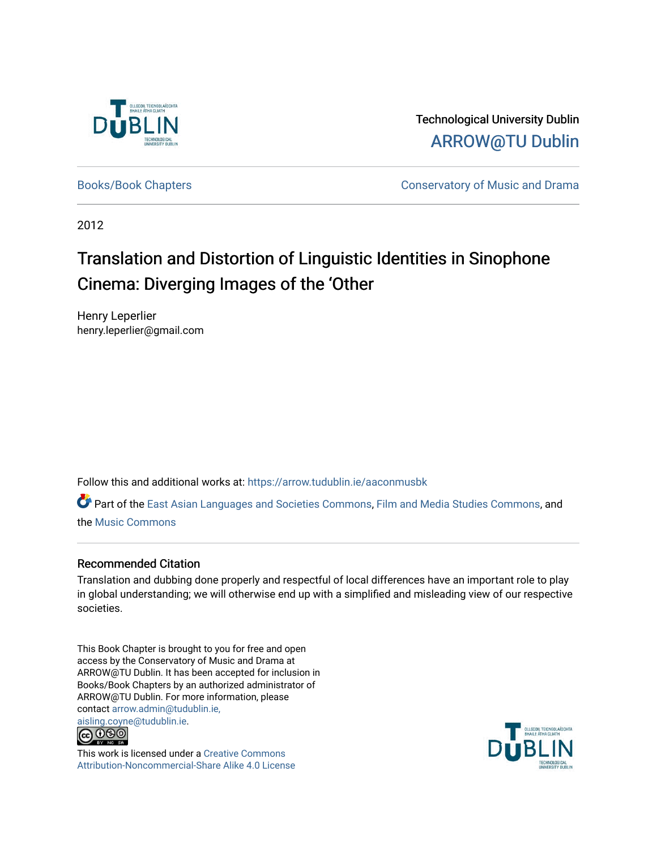

Technological University Dublin [ARROW@TU Dublin](https://arrow.tudublin.ie/) 

[Books/Book Chapters](https://arrow.tudublin.ie/aaconmusbk) **Conservatory of Music and Drama** 

2012

# Translation and Distortion of Linguistic Identities in Sinophone Cinema: Diverging Images of the 'Other

Henry Leperlier henry.leperlier@gmail.com

Follow this and additional works at: [https://arrow.tudublin.ie/aaconmusbk](https://arrow.tudublin.ie/aaconmusbk?utm_source=arrow.tudublin.ie%2Faaconmusbk%2F8&utm_medium=PDF&utm_campaign=PDFCoverPages)

Part of the [East Asian Languages and Societies Commons,](http://network.bepress.com/hgg/discipline/481?utm_source=arrow.tudublin.ie%2Faaconmusbk%2F8&utm_medium=PDF&utm_campaign=PDFCoverPages) [Film and Media Studies Commons,](http://network.bepress.com/hgg/discipline/563?utm_source=arrow.tudublin.ie%2Faaconmusbk%2F8&utm_medium=PDF&utm_campaign=PDFCoverPages) and the [Music Commons](http://network.bepress.com/hgg/discipline/518?utm_source=arrow.tudublin.ie%2Faaconmusbk%2F8&utm_medium=PDF&utm_campaign=PDFCoverPages)

#### Recommended Citation

Translation and dubbing done properly and respectful of local differences have an important role to play in global understanding; we will otherwise end up with a simplified and misleading view of our respective societies.

This Book Chapter is brought to you for free and open access by the Conservatory of Music and Drama at ARROW@TU Dublin. It has been accepted for inclusion in Books/Book Chapters by an authorized administrator of ARROW@TU Dublin. For more information, please contact [arrow.admin@tudublin.ie,](mailto:arrow.admin@tudublin.ie,%20aisling.coyne@tudublin.ie)  [aisling.coyne@tudublin.ie.](mailto:arrow.admin@tudublin.ie,%20aisling.coyne@tudublin.ie)



This work is licensed under a [Creative Commons](http://creativecommons.org/licenses/by-nc-sa/4.0/) [Attribution-Noncommercial-Share Alike 4.0 License](http://creativecommons.org/licenses/by-nc-sa/4.0/)

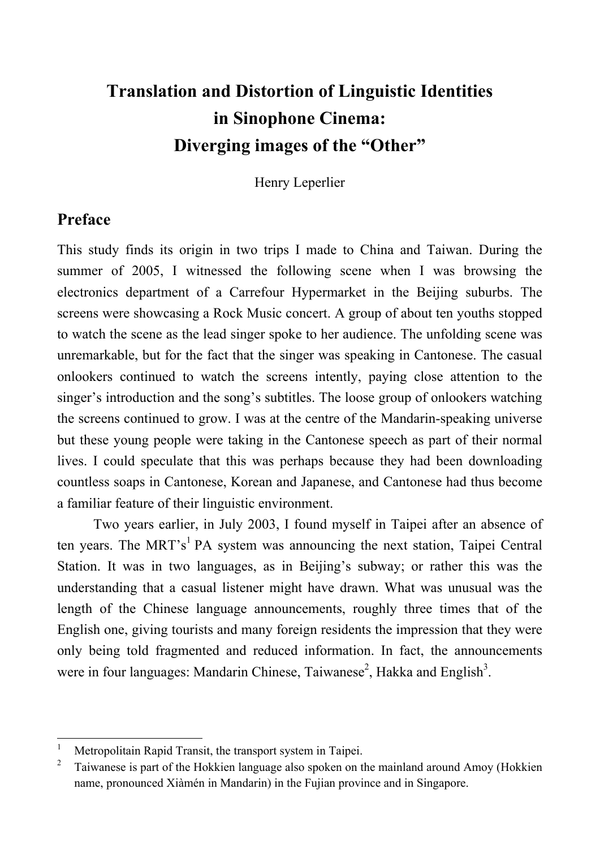# **Translation and Distortion of Linguistic Identities in Sinophone Cinema: Diverging images of the "Other"**

Henry Leperlier

## **Preface**

 $\overline{a}$ 

This study finds its origin in two trips I made to China and Taiwan. During the summer of 2005, I witnessed the following scene when I was browsing the electronics department of a Carrefour Hypermarket in the Beijing suburbs. The screens were showcasing a Rock Music concert. A group of about ten youths stopped to watch the scene as the lead singer spoke to her audience. The unfolding scene was unremarkable, but for the fact that the singer was speaking in Cantonese. The casual onlookers continued to watch the screens intently, paying close attention to the singer's introduction and the song's subtitles. The loose group of onlookers watching the screens continued to grow. I was at the centre of the Mandarin-speaking universe but these young people were taking in the Cantonese speech as part of their normal lives. I could speculate that this was perhaps because they had been downloading countless soaps in Cantonese, Korean and Japanese, and Cantonese had thus become a familiar feature of their linguistic environment.

Two years earlier, in July 2003, I found myself in Taipei after an absence of ten years. The MRT's<sup>1</sup> PA system was announcing the next station, Taipei Central Station. It was in two languages, as in Beijing's subway; or rather this was the understanding that a casual listener might have drawn. What was unusual was the length of the Chinese language announcements, roughly three times that of the English one, giving tourists and many foreign residents the impression that they were only being told fragmented and reduced information. In fact, the announcements were in four languages: Mandarin Chinese, Taiwanese<sup>2</sup>, Hakka and English<sup>3</sup>.

<sup>1</sup> Metropolitain Rapid Transit, the transport system in Taipei.

<sup>2</sup> Taiwanese is part of the Hokkien language also spoken on the mainland around Amoy (Hokkien name, pronounced Xiàmén in Mandarin) in the Fujian province and in Singapore.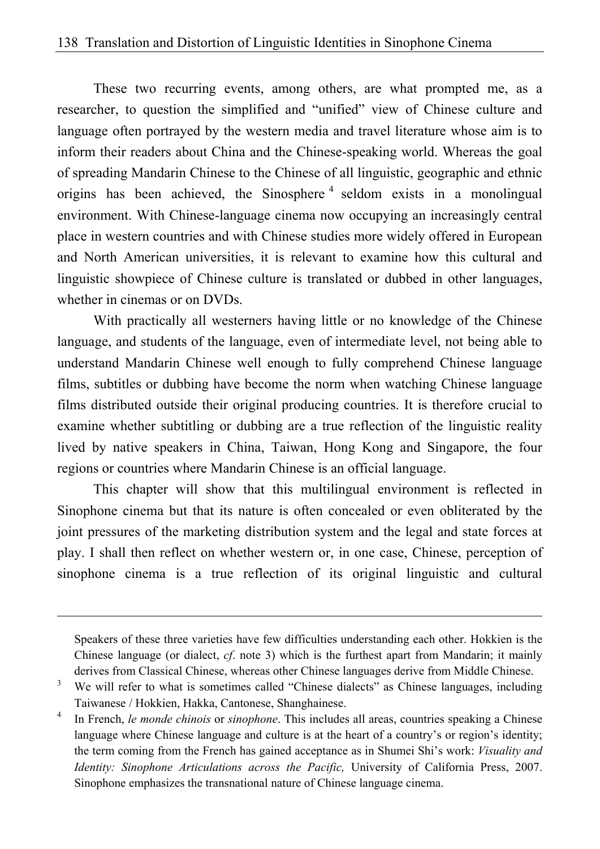These two recurring events, among others, are what prompted me, as a researcher, to question the simplified and "unified" view of Chinese culture and language often portrayed by the western media and travel literature whose aim is to inform their readers about China and the Chinese-speaking world. Whereas the goal of spreading Mandarin Chinese to the Chinese of all linguistic, geographic and ethnic origins has been achieved, the Sinosphere<sup>4</sup> seldom exists in a monolingual environment. With Chinese-language cinema now occupying an increasingly central place in western countries and with Chinese studies more widely offered in European and North American universities, it is relevant to examine how this cultural and linguistic showpiece of Chinese culture is translated or dubbed in other languages, whether in cinemas or on DVDs.

With practically all westerners having little or no knowledge of the Chinese language, and students of the language, even of intermediate level, not being able to understand Mandarin Chinese well enough to fully comprehend Chinese language films, subtitles or dubbing have become the norm when watching Chinese language films distributed outside their original producing countries. It is therefore crucial to examine whether subtitling or dubbing are a true reflection of the linguistic reality lived by native speakers in China, Taiwan, Hong Kong and Singapore, the four regions or countries where Mandarin Chinese is an official language.

This chapter will show that this multilingual environment is reflected in Sinophone cinema but that its nature is often concealed or even obliterated by the joint pressures of the marketing distribution system and the legal and state forces at play. I shall then reflect on whether western or, in one case, Chinese, perception of sinophone cinema is a true reflection of its original linguistic and cultural

 $\overline{a}$ 

Speakers of these three varieties have few difficulties understanding each other. Hokkien is the Chinese language (or dialect, *cf*. note 3) which is the furthest apart from Mandarin; it mainly derives from Classical Chinese, whereas other Chinese languages derive from Middle Chinese.

<sup>3</sup> We will refer to what is sometimes called "Chinese dialects" as Chinese languages, including Taiwanese / Hokkien, Hakka, Cantonese, Shanghainese.

<sup>4</sup> In French, *le monde chinois* or *sinophone*. This includes all areas, countries speaking a Chinese language where Chinese language and culture is at the heart of a country's or region's identity; the term coming from the French has gained acceptance as in Shumei Shi's work: *Visuality and Identity: Sinophone Articulations across the Pacific*, University of California Press, 2007. Sinophone emphasizes the transnational nature of Chinese language cinema.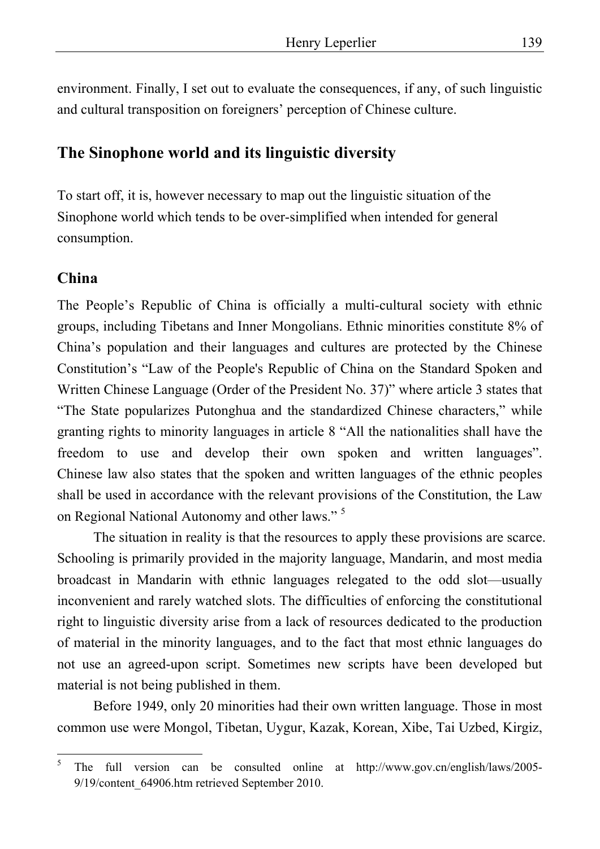environment. Finally, I set out to evaluate the consequences, if any, of such linguistic and cultural transposition on foreigners' perception of Chinese culture.

## **The Sinophone world and its linguistic diversity**

To start off, it is, however necessary to map out the linguistic situation of the Sinophone world which tends to be over-simplified when intended for general consumption.

### **China**

The People's Republic of China is officially a multi-cultural society with ethnic groups, including Tibetans and Inner Mongolians. Ethnic minorities constitute 8% of China's population and their languages and cultures are protected by the Chinese Constitution's "Law of the People's Republic of China on the Standard Spoken and Written Chinese Language (Order of the President No. 37)" where article 3 states that "The State popularizes Putonghua and the standardized Chinese characters," while granting rights to minority languages in article 8 "All the nationalities shall have the freedom to use and develop their own spoken and written languages". Chinese law also states that the spoken and written languages of the ethnic peoples shall be used in accordance with the relevant provisions of the Constitution, the Law on Regional National Autonomy and other laws." 5

The situation in reality is that the resources to apply these provisions are scarce. Schooling is primarily provided in the majority language, Mandarin, and most media broadcast in Mandarin with ethnic languages relegated to the odd slot—usually inconvenient and rarely watched slots. The difficulties of enforcing the constitutional right to linguistic diversity arise from a lack of resources dedicated to the production of material in the minority languages, and to the fact that most ethnic languages do not use an agreed-upon script. Sometimes new scripts have been developed but material is not being published in them.

Before 1949, only 20 minorities had their own written language. Those in most common use were Mongol, Tibetan, Uygur, Kazak, Korean, Xibe, Tai Uzbed, Kirgiz,

 $\frac{1}{5}$  The full version can be consulted online at http://www.gov.cn/english/laws/2005- 9/19/content\_64906.htm retrieved September 2010.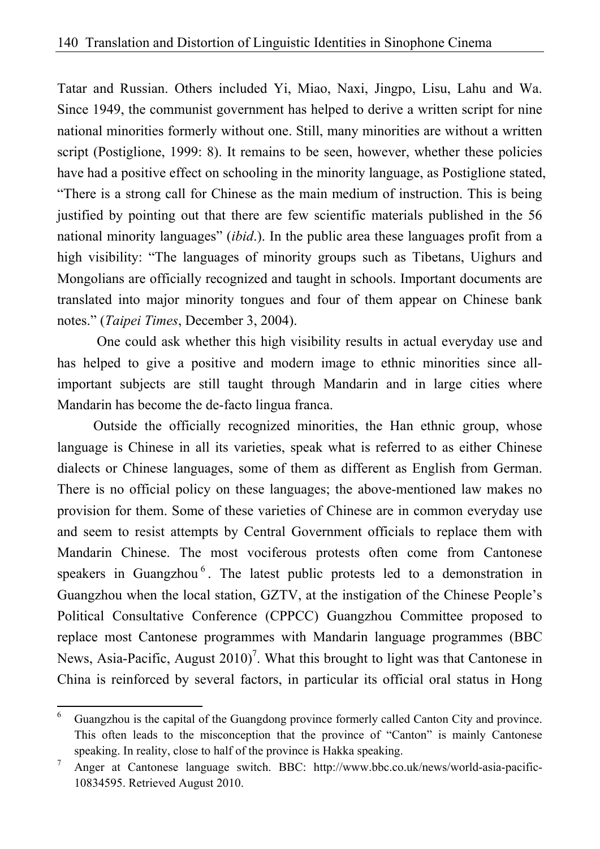Tatar and Russian. Others included Yi, Miao, Naxi, Jingpo, Lisu, Lahu and Wa. Since 1949, the communist government has helped to derive a written script for nine national minorities formerly without one. Still, many minorities are without a written script (Postiglione, 1999: 8). It remains to be seen, however, whether these policies have had a positive effect on schooling in the minority language, as Postiglione stated, "There is a strong call for Chinese as the main medium of instruction. This is being justified by pointing out that there are few scientific materials published in the 56 national minority languages" (*ibid*.). In the public area these languages profit from a high visibility: "The languages of minority groups such as Tibetans, Uighurs and Mongolians are officially recognized and taught in schools. Important documents are translated into major minority tongues and four of them appear on Chinese bank notes." (*Taipei Times*, December 3, 2004).

 One could ask whether this high visibility results in actual everyday use and has helped to give a positive and modern image to ethnic minorities since allimportant subjects are still taught through Mandarin and in large cities where Mandarin has become the de-facto lingua franca.

Outside the officially recognized minorities, the Han ethnic group, whose language is Chinese in all its varieties, speak what is referred to as either Chinese dialects or Chinese languages, some of them as different as English from German. There is no official policy on these languages; the above-mentioned law makes no provision for them. Some of these varieties of Chinese are in common everyday use and seem to resist attempts by Central Government officials to replace them with Mandarin Chinese. The most vociferous protests often come from Cantonese speakers in Guangzhou<sup>6</sup>. The latest public protests led to a demonstration in Guangzhou when the local station, GZTV, at the instigation of the Chinese People's Political Consultative Conference (CPPCC) Guangzhou Committee proposed to replace most Cantonese programmes with Mandarin language programmes (BBC News, Asia-Pacific, August  $2010$ <sup>7</sup>. What this brought to light was that Cantonese in China is reinforced by several factors, in particular its official oral status in Hong

 6 Guangzhou is the capital of the Guangdong province formerly called Canton City and province. This often leads to the misconception that the province of "Canton" is mainly Cantonese speaking. In reality, close to half of the province is Hakka speaking.

<sup>7</sup> Anger at Cantonese language switch. BBC: http://www.bbc.co.uk/news/world-asia-pacific-10834595. Retrieved August 2010.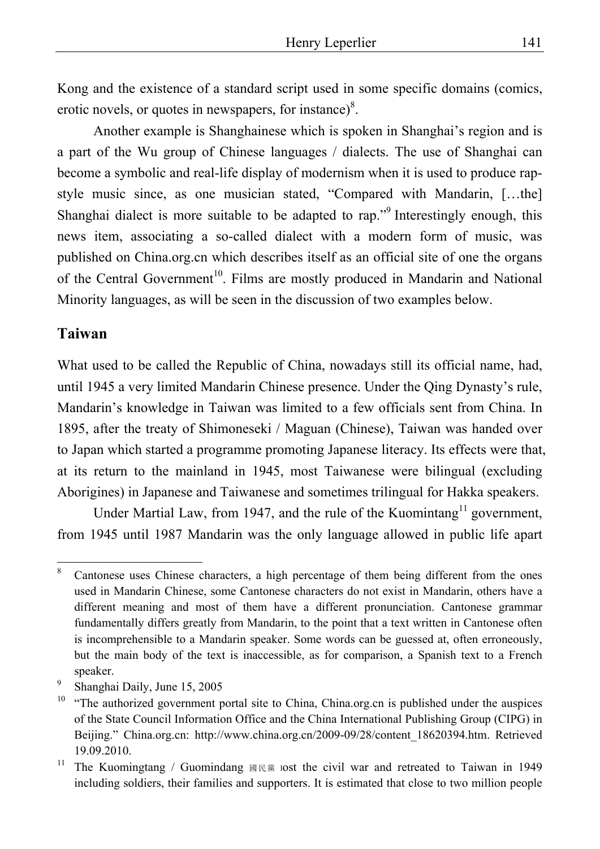Kong and the existence of a standard script used in some specific domains (comics, erotic novels, or quotes in newspapers, for instance) $8$ .

Another example is Shanghainese which is spoken in Shanghai's region and is a part of the Wu group of Chinese languages / dialects. The use of Shanghai can become a symbolic and real-life display of modernism when it is used to produce rapstyle music since, as one musician stated, "Compared with Mandarin, […the] Shanghai dialect is more suitable to be adapted to rap."<sup>9</sup> Interestingly enough, this news item, associating a so-called dialect with a modern form of music, was published on China.org.cn which describes itself as an official site of one the organs of the Central Government<sup>10</sup>. Films are mostly produced in Mandarin and National Minority languages, as will be seen in the discussion of two examples below.

#### **Taiwan**

 $\overline{a}$ 

What used to be called the Republic of China, nowadays still its official name, had, until 1945 a very limited Mandarin Chinese presence. Under the Qing Dynasty's rule, Mandarin's knowledge in Taiwan was limited to a few officials sent from China. In 1895, after the treaty of Shimoneseki / Maguan (Chinese), Taiwan was handed over to Japan which started a programme promoting Japanese literacy. Its effects were that, at its return to the mainland in 1945, most Taiwanese were bilingual (excluding Aborigines) in Japanese and Taiwanese and sometimes trilingual for Hakka speakers.

Under Martial Law, from 1947, and the rule of the Kuomintang<sup>11</sup> government, from 1945 until 1987 Mandarin was the only language allowed in public life apart

<sup>8</sup> Cantonese uses Chinese characters, a high percentage of them being different from the ones used in Mandarin Chinese, some Cantonese characters do not exist in Mandarin, others have a different meaning and most of them have a different pronunciation. Cantonese grammar fundamentally differs greatly from Mandarin, to the point that a text written in Cantonese often is incomprehensible to a Mandarin speaker. Some words can be guessed at, often erroneously, but the main body of the text is inaccessible, as for comparison, a Spanish text to a French speaker.

<sup>9</sup> Shanghai Daily, June 15, 2005

<sup>&</sup>lt;sup>10</sup> "The authorized government portal site to China, China.org.cn is published under the auspices of the State Council Information Office and the China International Publishing Group (CIPG) in Beijing." China.org.cn: http://www.china.org.cn/2009-09/28/content\_18620394.htm. Retrieved 19.09.2010.

<sup>&</sup>lt;sup>11</sup> The Kuomingtang / Guomindang  $\text{R} \times \text{R}$  lost the civil war and retreated to Taiwan in 1949 including soldiers, their families and supporters. It is estimated that close to two million people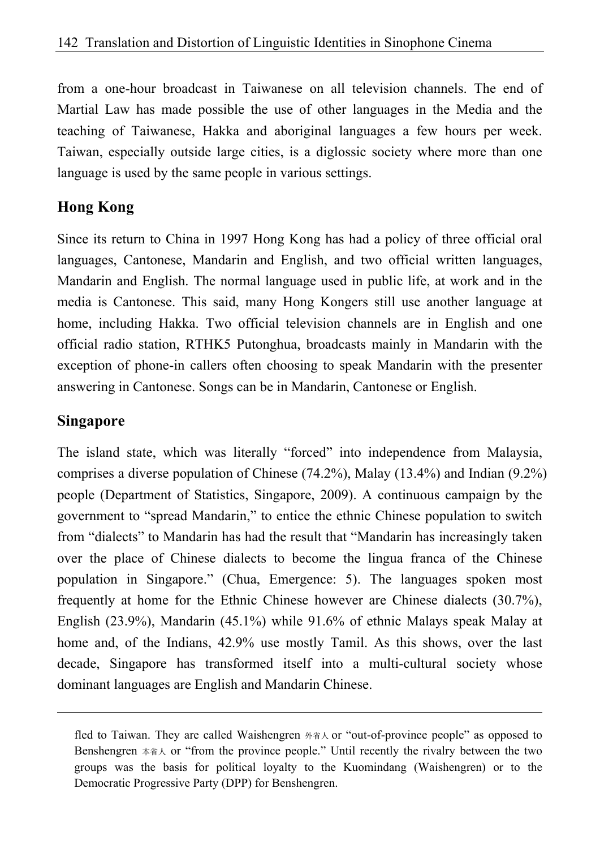from a one-hour broadcast in Taiwanese on all television channels. The end of Martial Law has made possible the use of other languages in the Media and the teaching of Taiwanese, Hakka and aboriginal languages a few hours per week. Taiwan, especially outside large cities, is a diglossic society where more than one language is used by the same people in various settings.

## **Hong Kong**

Since its return to China in 1997 Hong Kong has had a policy of three official oral languages, Cantonese, Mandarin and English, and two official written languages, Mandarin and English. The normal language used in public life, at work and in the media is Cantonese. This said, many Hong Kongers still use another language at home, including Hakka. Two official television channels are in English and one official radio station, RTHK5 Putonghua, broadcasts mainly in Mandarin with the exception of phone-in callers often choosing to speak Mandarin with the presenter answering in Cantonese. Songs can be in Mandarin, Cantonese or English.

## **Singapore**

 $\overline{a}$ 

The island state, which was literally "forced" into independence from Malaysia, comprises a diverse population of Chinese (74.2%), Malay (13.4%) and Indian (9.2%) people (Department of Statistics, Singapore, 2009). A continuous campaign by the government to "spread Mandarin," to entice the ethnic Chinese population to switch from "dialects" to Mandarin has had the result that "Mandarin has increasingly taken over the place of Chinese dialects to become the lingua franca of the Chinese population in Singapore." (Chua, Emergence: 5). The languages spoken most frequently at home for the Ethnic Chinese however are Chinese dialects (30.7%), English (23.9%), Mandarin (45.1%) while 91.6% of ethnic Malays speak Malay at home and, of the Indians, 42.9% use mostly Tamil. As this shows, over the last decade, Singapore has transformed itself into a multi-cultural society whose dominant languages are English and Mandarin Chinese.

fled to Taiwan. They are called Waishengren 外省人 or "out-of-province people" as opposed to Benshengren 本省人 or "from the province people." Until recently the rivalry between the two groups was the basis for political loyalty to the Kuomindang (Waishengren) or to the Democratic Progressive Party (DPP) for Benshengren.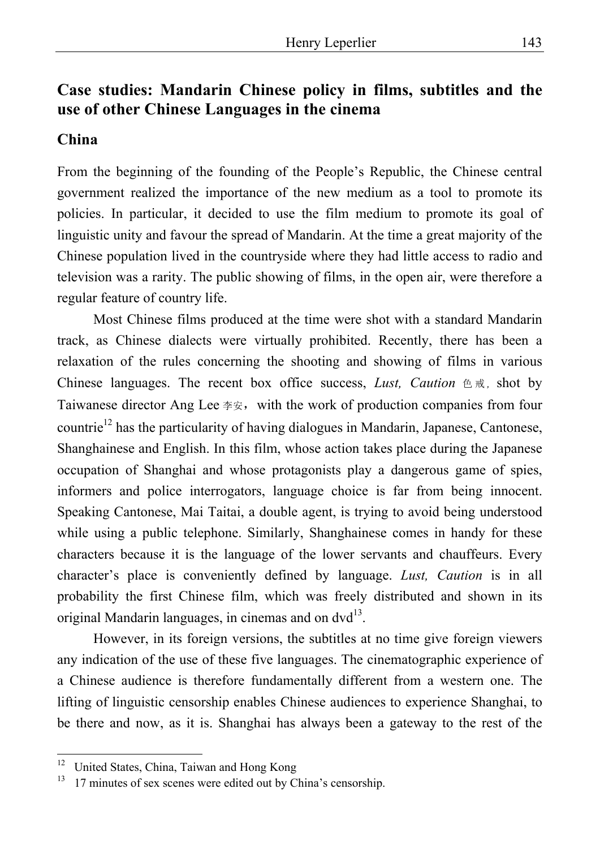## **Case studies: Mandarin Chinese policy in films, subtitles and the use of other Chinese Languages in the cinema**

#### **China**

From the beginning of the founding of the People's Republic, the Chinese central government realized the importance of the new medium as a tool to promote its policies. In particular, it decided to use the film medium to promote its goal of linguistic unity and favour the spread of Mandarin. At the time a great majority of the Chinese population lived in the countryside where they had little access to radio and television was a rarity. The public showing of films, in the open air, were therefore a regular feature of country life.

Most Chinese films produced at the time were shot with a standard Mandarin track, as Chinese dialects were virtually prohibited. Recently, there has been a relaxation of the rules concerning the shooting and showing of films in various Chinese languages. The recent box office success, *Lust*, *Caution* 色戒, shot by Taiwanese director Ang Lee  $*\overline{\mathcal{F}}$ , with the work of production companies from four countrie<sup>12</sup> has the particularity of having dialogues in Mandarin, Japanese, Cantonese, Shanghainese and English. In this film, whose action takes place during the Japanese occupation of Shanghai and whose protagonists play a dangerous game of spies, informers and police interrogators, language choice is far from being innocent. Speaking Cantonese, Mai Taitai, a double agent, is trying to avoid being understood while using a public telephone. Similarly, Shanghainese comes in handy for these characters because it is the language of the lower servants and chauffeurs. Every character's place is conveniently defined by language. *Lust, Caution* is in all probability the first Chinese film, which was freely distributed and shown in its original Mandarin languages, in cinemas and on  $dvd^{13}$ .

However, in its foreign versions, the subtitles at no time give foreign viewers any indication of the use of these five languages. The cinematographic experience of a Chinese audience is therefore fundamentally different from a western one. The lifting of linguistic censorship enables Chinese audiences to experience Shanghai, to be there and now, as it is. Shanghai has always been a gateway to the rest of the

 $12$ 12 United States, China, Taiwan and Hong Kong

 $13$  17 minutes of sex scenes were edited out by China's censorship.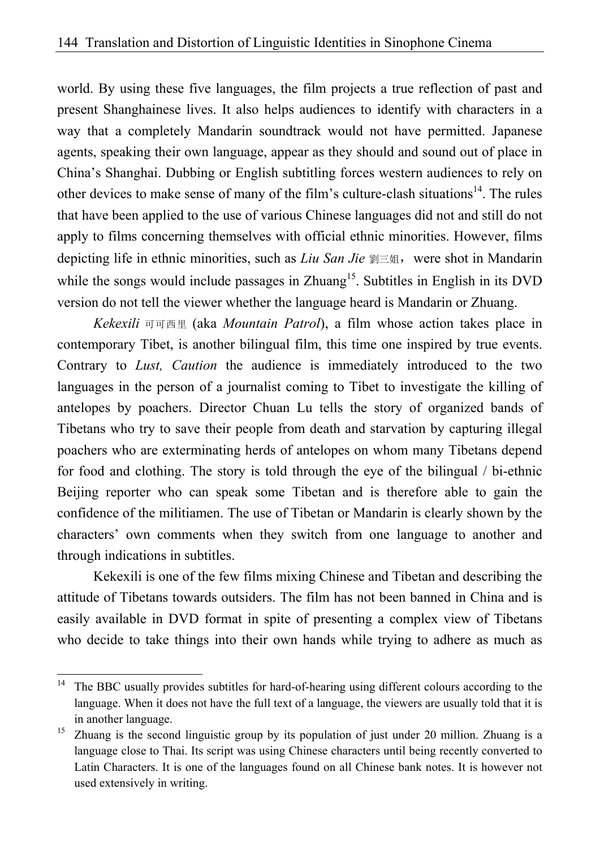world. By using these five languages, the film projects a true reflection of past and present Shanghainese lives. It also helps audiences to identify with characters in a way that a completely Mandarin soundtrack would not have permitted. Japanese agents, speaking their own language, appear as they should and sound out of place in China's Shanghai. Dubbing or English subtitling forces western audiences to rely on other devices to make sense of many of the film's culture-clash situations<sup>14</sup>. The rules that have been applied to the use of various Chinese languages did not and still do not apply to films concerning themselves with official ethnic minorities. However, films depicting life in ethnic minorities, such as *Liu San Jie* 劉三姐, were shot in Mandarin while the songs would include passages in  $Z$ huang<sup>15</sup>. Subtitles in English in its DVD version do not tell the viewer whether the language heard is Mandarin or Zhuang.

*Kekexili* 可可西里 (aka *Mountain Patrol*), a film whose action takes place in contemporary Tibet, is another bilingual film, this time one inspired by true events. Contrary to *Lust, Caution* the audience is immediately introduced to the two languages in the person of a journalist coming to Tibet to investigate the killing of antelopes by poachers. Director Chuan Lu tells the story of organized bands of Tibetans who try to save their people from death and starvation by capturing illegal poachers who are exterminating herds of antelopes on whom many Tibetans depend for food and clothing. The story is told through the eye of the bilingual / bi-ethnic Beijing reporter who can speak some Tibetan and is therefore able to gain the confidence of the militiamen. The use of Tibetan or Mandarin is clearly shown by the characters' own comments when they switch from one language to another and through indications in subtitles.

Kekexili is one of the few films mixing Chinese and Tibetan and describing the attitude of Tibetans towards outsiders. The film has not been banned in China and is easily available in DVD format in spite of presenting a complex view of Tibetans who decide to take things into their own hands while trying to adhere as much as

<sup>14</sup> The BBC usually provides subtitles for hard-of-hearing using different colours according to the language. When it does not have the full text of a language, the viewers are usually told that it is in another language.

<sup>&</sup>lt;sup>15</sup> Zhuang is the second linguistic group by its population of just under 20 million. Zhuang is a language close to Thai. Its script was using Chinese characters until being recently converted to Latin Characters. It is one of the languages found on all Chinese bank notes. It is however not used extensively in writing.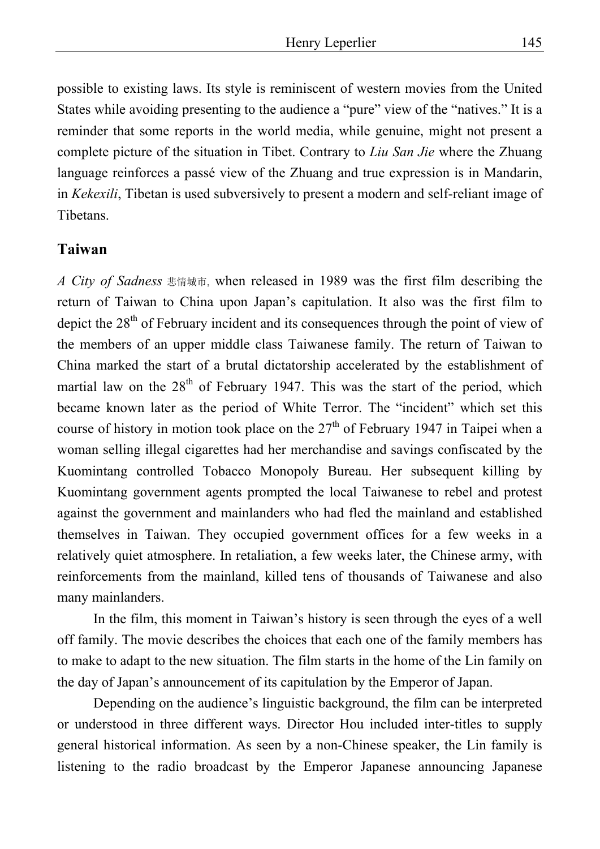possible to existing laws. Its style is reminiscent of western movies from the United States while avoiding presenting to the audience a "pure" view of the "natives." It is a reminder that some reports in the world media, while genuine, might not present a complete picture of the situation in Tibet. Contrary to *Liu San Jie* where the Zhuang language reinforces a passé view of the Zhuang and true expression is in Mandarin, in *Kekexili*, Tibetan is used subversively to present a modern and self-reliant image of Tibetans.

#### **Taiwan**

*A City of Sadness* 悲情城市, when released in 1989 was the first film describing the return of Taiwan to China upon Japan's capitulation. It also was the first film to depict the 28<sup>th</sup> of February incident and its consequences through the point of view of the members of an upper middle class Taiwanese family. The return of Taiwan to China marked the start of a brutal dictatorship accelerated by the establishment of martial law on the  $28<sup>th</sup>$  of February 1947. This was the start of the period, which became known later as the period of White Terror. The "incident" which set this course of history in motion took place on the  $27<sup>th</sup>$  of February 1947 in Taipei when a woman selling illegal cigarettes had her merchandise and savings confiscated by the Kuomintang controlled Tobacco Monopoly Bureau. Her subsequent killing by Kuomintang government agents prompted the local Taiwanese to rebel and protest against the government and mainlanders who had fled the mainland and established themselves in Taiwan. They occupied government offices for a few weeks in a relatively quiet atmosphere. In retaliation, a few weeks later, the Chinese army, with reinforcements from the mainland, killed tens of thousands of Taiwanese and also many mainlanders.

In the film, this moment in Taiwan's history is seen through the eyes of a well off family. The movie describes the choices that each one of the family members has to make to adapt to the new situation. The film starts in the home of the Lin family on the day of Japan's announcement of its capitulation by the Emperor of Japan.

Depending on the audience's linguistic background, the film can be interpreted or understood in three different ways. Director Hou included inter-titles to supply general historical information. As seen by a non-Chinese speaker, the Lin family is listening to the radio broadcast by the Emperor Japanese announcing Japanese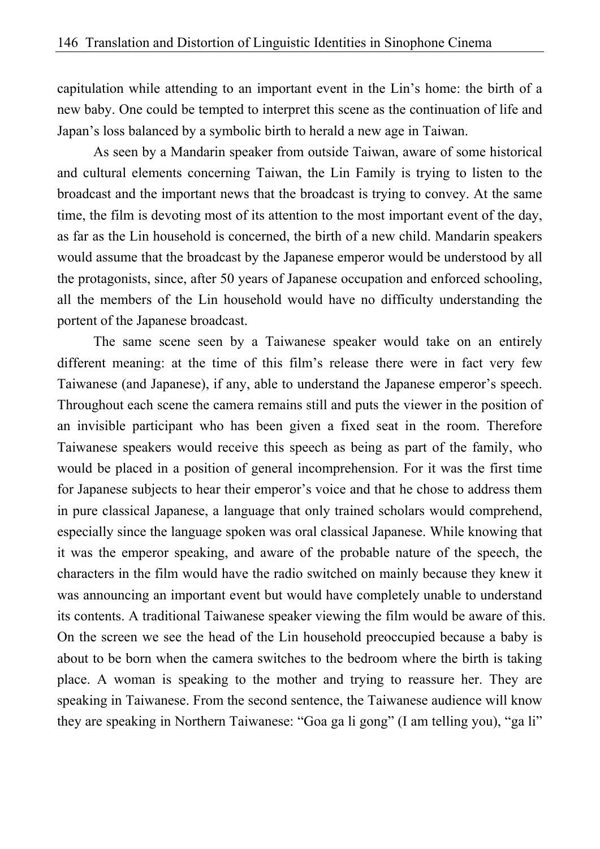capitulation while attending to an important event in the Lin's home: the birth of a new baby. One could be tempted to interpret this scene as the continuation of life and Japan's loss balanced by a symbolic birth to herald a new age in Taiwan.

As seen by a Mandarin speaker from outside Taiwan, aware of some historical and cultural elements concerning Taiwan, the Lin Family is trying to listen to the broadcast and the important news that the broadcast is trying to convey. At the same time, the film is devoting most of its attention to the most important event of the day, as far as the Lin household is concerned, the birth of a new child. Mandarin speakers would assume that the broadcast by the Japanese emperor would be understood by all the protagonists, since, after 50 years of Japanese occupation and enforced schooling, all the members of the Lin household would have no difficulty understanding the portent of the Japanese broadcast.

The same scene seen by a Taiwanese speaker would take on an entirely different meaning: at the time of this film's release there were in fact very few Taiwanese (and Japanese), if any, able to understand the Japanese emperor's speech. Throughout each scene the camera remains still and puts the viewer in the position of an invisible participant who has been given a fixed seat in the room. Therefore Taiwanese speakers would receive this speech as being as part of the family, who would be placed in a position of general incomprehension. For it was the first time for Japanese subjects to hear their emperor's voice and that he chose to address them in pure classical Japanese, a language that only trained scholars would comprehend, especially since the language spoken was oral classical Japanese. While knowing that it was the emperor speaking, and aware of the probable nature of the speech, the characters in the film would have the radio switched on mainly because they knew it was announcing an important event but would have completely unable to understand its contents. A traditional Taiwanese speaker viewing the film would be aware of this. On the screen we see the head of the Lin household preoccupied because a baby is about to be born when the camera switches to the bedroom where the birth is taking place. A woman is speaking to the mother and trying to reassure her. They are speaking in Taiwanese. From the second sentence, the Taiwanese audience will know they are speaking in Northern Taiwanese: "Goa ga li gong" (I am telling you), "ga li"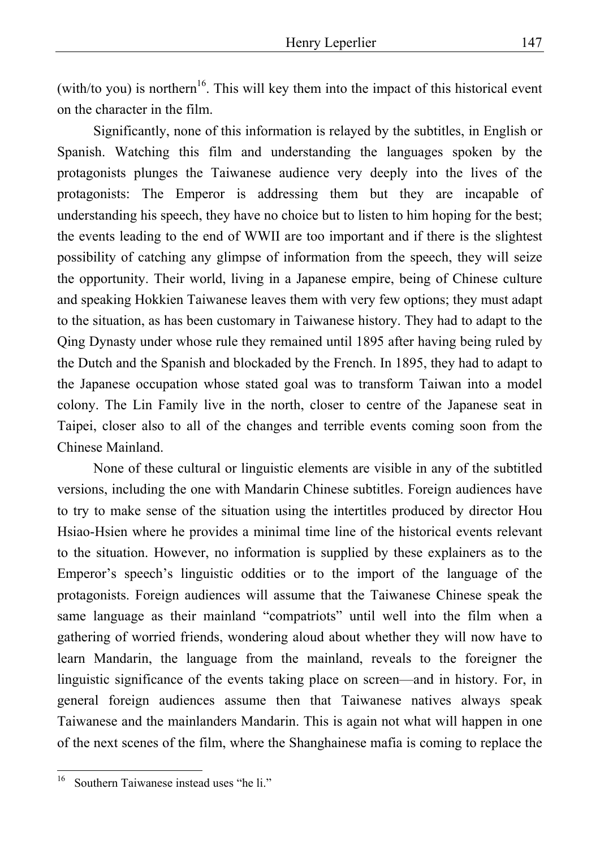(with/to you) is northern<sup>16</sup>. This will key them into the impact of this historical event on the character in the film.

Significantly, none of this information is relayed by the subtitles, in English or Spanish. Watching this film and understanding the languages spoken by the protagonists plunges the Taiwanese audience very deeply into the lives of the protagonists: The Emperor is addressing them but they are incapable of understanding his speech, they have no choice but to listen to him hoping for the best; the events leading to the end of WWII are too important and if there is the slightest possibility of catching any glimpse of information from the speech, they will seize the opportunity. Their world, living in a Japanese empire, being of Chinese culture and speaking Hokkien Taiwanese leaves them with very few options; they must adapt to the situation, as has been customary in Taiwanese history. They had to adapt to the Qing Dynasty under whose rule they remained until 1895 after having being ruled by the Dutch and the Spanish and blockaded by the French. In 1895, they had to adapt to the Japanese occupation whose stated goal was to transform Taiwan into a model colony. The Lin Family live in the north, closer to centre of the Japanese seat in Taipei, closer also to all of the changes and terrible events coming soon from the Chinese Mainland.

None of these cultural or linguistic elements are visible in any of the subtitled versions, including the one with Mandarin Chinese subtitles. Foreign audiences have to try to make sense of the situation using the intertitles produced by director Hou Hsiao-Hsien where he provides a minimal time line of the historical events relevant to the situation. However, no information is supplied by these explainers as to the Emperor's speech's linguistic oddities or to the import of the language of the protagonists. Foreign audiences will assume that the Taiwanese Chinese speak the same language as their mainland "compatriots" until well into the film when a gathering of worried friends, wondering aloud about whether they will now have to learn Mandarin, the language from the mainland, reveals to the foreigner the linguistic significance of the events taking place on screen—and in history. For, in general foreign audiences assume then that Taiwanese natives always speak Taiwanese and the mainlanders Mandarin. This is again not what will happen in one of the next scenes of the film, where the Shanghainese mafia is coming to replace the

 $16\,$ Southern Taiwanese instead uses "he li."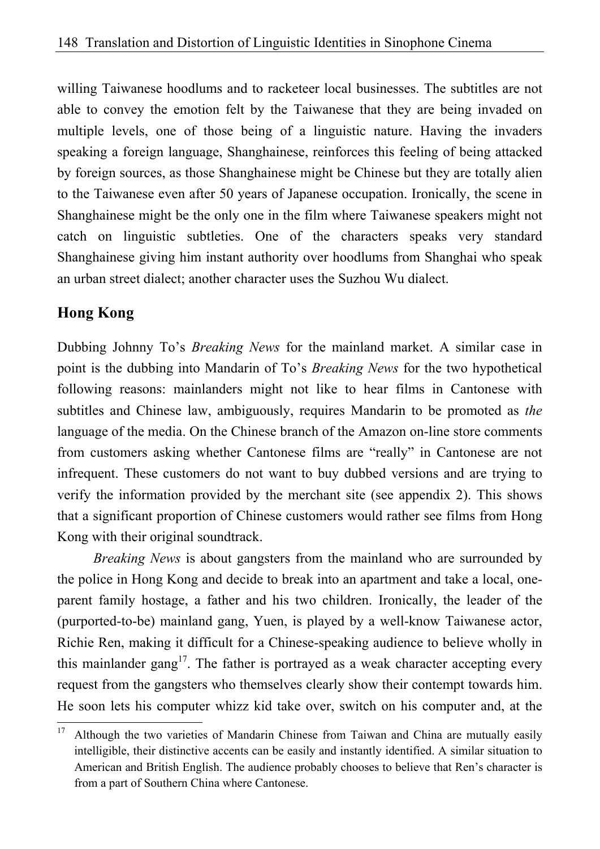willing Taiwanese hoodlums and to racketeer local businesses. The subtitles are not able to convey the emotion felt by the Taiwanese that they are being invaded on multiple levels, one of those being of a linguistic nature. Having the invaders speaking a foreign language, Shanghainese, reinforces this feeling of being attacked by foreign sources, as those Shanghainese might be Chinese but they are totally alien to the Taiwanese even after 50 years of Japanese occupation. Ironically, the scene in Shanghainese might be the only one in the film where Taiwanese speakers might not catch on linguistic subtleties. One of the characters speaks very standard Shanghainese giving him instant authority over hoodlums from Shanghai who speak an urban street dialect; another character uses the Suzhou Wu dialect.

## **Hong Kong**

Dubbing Johnny To's *Breaking News* for the mainland market. A similar case in point is the dubbing into Mandarin of To's *Breaking News* for the two hypothetical following reasons: mainlanders might not like to hear films in Cantonese with subtitles and Chinese law, ambiguously, requires Mandarin to be promoted as *the* language of the media. On the Chinese branch of the Amazon on-line store comments from customers asking whether Cantonese films are "really" in Cantonese are not infrequent. These customers do not want to buy dubbed versions and are trying to verify the information provided by the merchant site (see appendix 2). This shows that a significant proportion of Chinese customers would rather see films from Hong Kong with their original soundtrack.

*Breaking News* is about gangsters from the mainland who are surrounded by the police in Hong Kong and decide to break into an apartment and take a local, oneparent family hostage, a father and his two children. Ironically, the leader of the (purported-to-be) mainland gang, Yuen, is played by a well-know Taiwanese actor, Richie Ren, making it difficult for a Chinese-speaking audience to believe wholly in this mainlander gang<sup>17</sup>. The father is portrayed as a weak character accepting every request from the gangsters who themselves clearly show their contempt towards him. He soon lets his computer whizz kid take over, switch on his computer and, at the

 $17\,$ Although the two varieties of Mandarin Chinese from Taiwan and China are mutually easily intelligible, their distinctive accents can be easily and instantly identified. A similar situation to American and British English. The audience probably chooses to believe that Ren's character is from a part of Southern China where Cantonese.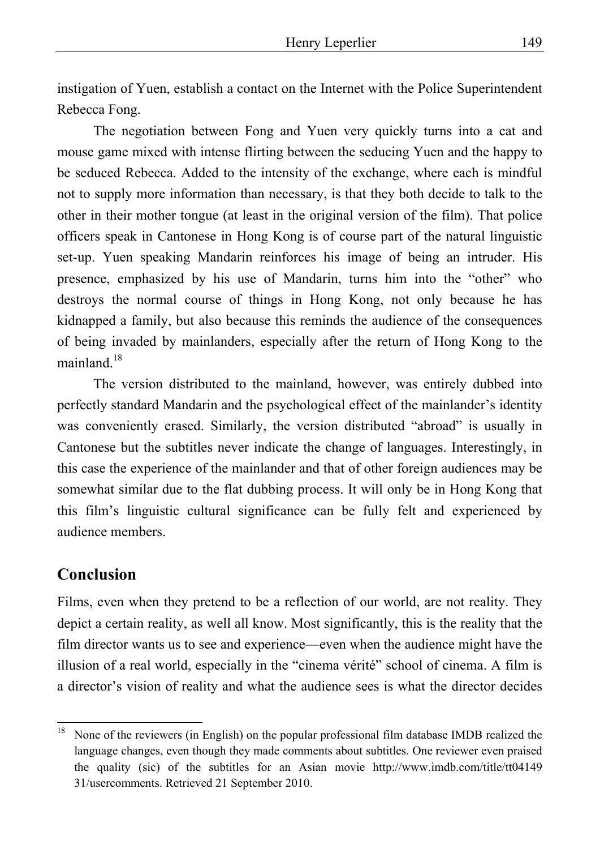instigation of Yuen, establish a contact on the Internet with the Police Superintendent Rebecca Fong.

The negotiation between Fong and Yuen very quickly turns into a cat and mouse game mixed with intense flirting between the seducing Yuen and the happy to be seduced Rebecca. Added to the intensity of the exchange, where each is mindful not to supply more information than necessary, is that they both decide to talk to the other in their mother tongue (at least in the original version of the film). That police officers speak in Cantonese in Hong Kong is of course part of the natural linguistic set-up. Yuen speaking Mandarin reinforces his image of being an intruder. His presence, emphasized by his use of Mandarin, turns him into the "other" who destroys the normal course of things in Hong Kong, not only because he has kidnapped a family, but also because this reminds the audience of the consequences of being invaded by mainlanders, especially after the return of Hong Kong to the mainland  $^{18}$ 

The version distributed to the mainland, however, was entirely dubbed into perfectly standard Mandarin and the psychological effect of the mainlander's identity was conveniently erased. Similarly, the version distributed "abroad" is usually in Cantonese but the subtitles never indicate the change of languages. Interestingly, in this case the experience of the mainlander and that of other foreign audiences may be somewhat similar due to the flat dubbing process. It will only be in Hong Kong that this film's linguistic cultural significance can be fully felt and experienced by audience members.

### **Conclusion**

Films, even when they pretend to be a reflection of our world, are not reality. They depict a certain reality, as well all know. Most significantly, this is the reality that the film director wants us to see and experience—even when the audience might have the illusion of a real world, especially in the "cinema vérité" school of cinema. A film is a director's vision of reality and what the audience sees is what the director decides

 $18\,$ 18 None of the reviewers (in English) on the popular professional film database IMDB realized the language changes, even though they made comments about subtitles. One reviewer even praised the quality (sic) of the subtitles for an Asian movie http://www.imdb.com/title/tt04149 31/usercomments. Retrieved 21 September 2010.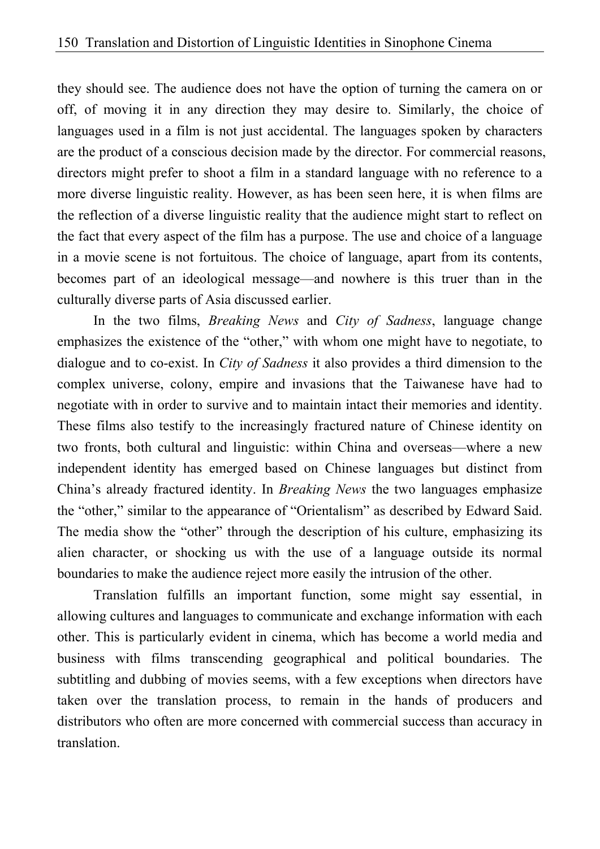they should see. The audience does not have the option of turning the camera on or off, of moving it in any direction they may desire to. Similarly, the choice of languages used in a film is not just accidental. The languages spoken by characters are the product of a conscious decision made by the director. For commercial reasons, directors might prefer to shoot a film in a standard language with no reference to a more diverse linguistic reality. However, as has been seen here, it is when films are the reflection of a diverse linguistic reality that the audience might start to reflect on the fact that every aspect of the film has a purpose. The use and choice of a language in a movie scene is not fortuitous. The choice of language, apart from its contents, becomes part of an ideological message—and nowhere is this truer than in the culturally diverse parts of Asia discussed earlier.

In the two films, *Breaking News* and *City of Sadness*, language change emphasizes the existence of the "other," with whom one might have to negotiate, to dialogue and to co-exist. In *City of Sadness* it also provides a third dimension to the complex universe, colony, empire and invasions that the Taiwanese have had to negotiate with in order to survive and to maintain intact their memories and identity. These films also testify to the increasingly fractured nature of Chinese identity on two fronts, both cultural and linguistic: within China and overseas—where a new independent identity has emerged based on Chinese languages but distinct from China's already fractured identity. In *Breaking News* the two languages emphasize the "other," similar to the appearance of "Orientalism" as described by Edward Said. The media show the "other" through the description of his culture, emphasizing its alien character, or shocking us with the use of a language outside its normal boundaries to make the audience reject more easily the intrusion of the other.

Translation fulfills an important function, some might say essential, in allowing cultures and languages to communicate and exchange information with each other. This is particularly evident in cinema, which has become a world media and business with films transcending geographical and political boundaries. The subtitling and dubbing of movies seems, with a few exceptions when directors have taken over the translation process, to remain in the hands of producers and distributors who often are more concerned with commercial success than accuracy in translation.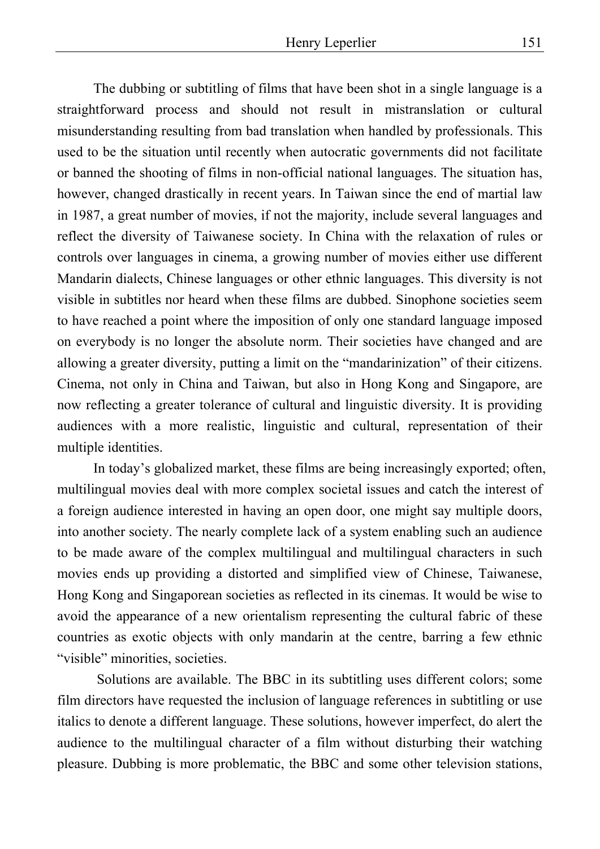The dubbing or subtitling of films that have been shot in a single language is a straightforward process and should not result in mistranslation or cultural misunderstanding resulting from bad translation when handled by professionals. This used to be the situation until recently when autocratic governments did not facilitate or banned the shooting of films in non-official national languages. The situation has, however, changed drastically in recent years. In Taiwan since the end of martial law in 1987, a great number of movies, if not the majority, include several languages and reflect the diversity of Taiwanese society. In China with the relaxation of rules or controls over languages in cinema, a growing number of movies either use different Mandarin dialects, Chinese languages or other ethnic languages. This diversity is not visible in subtitles nor heard when these films are dubbed. Sinophone societies seem to have reached a point where the imposition of only one standard language imposed on everybody is no longer the absolute norm. Their societies have changed and are allowing a greater diversity, putting a limit on the "mandarinization" of their citizens. Cinema, not only in China and Taiwan, but also in Hong Kong and Singapore, are now reflecting a greater tolerance of cultural and linguistic diversity. It is providing audiences with a more realistic, linguistic and cultural, representation of their multiple identities.

In today's globalized market, these films are being increasingly exported; often, multilingual movies deal with more complex societal issues and catch the interest of a foreign audience interested in having an open door, one might say multiple doors, into another society. The nearly complete lack of a system enabling such an audience to be made aware of the complex multilingual and multilingual characters in such movies ends up providing a distorted and simplified view of Chinese, Taiwanese, Hong Kong and Singaporean societies as reflected in its cinemas. It would be wise to avoid the appearance of a new orientalism representing the cultural fabric of these countries as exotic objects with only mandarin at the centre, barring a few ethnic "visible" minorities, societies.

 Solutions are available. The BBC in its subtitling uses different colors; some film directors have requested the inclusion of language references in subtitling or use italics to denote a different language. These solutions, however imperfect, do alert the audience to the multilingual character of a film without disturbing their watching pleasure. Dubbing is more problematic, the BBC and some other television stations,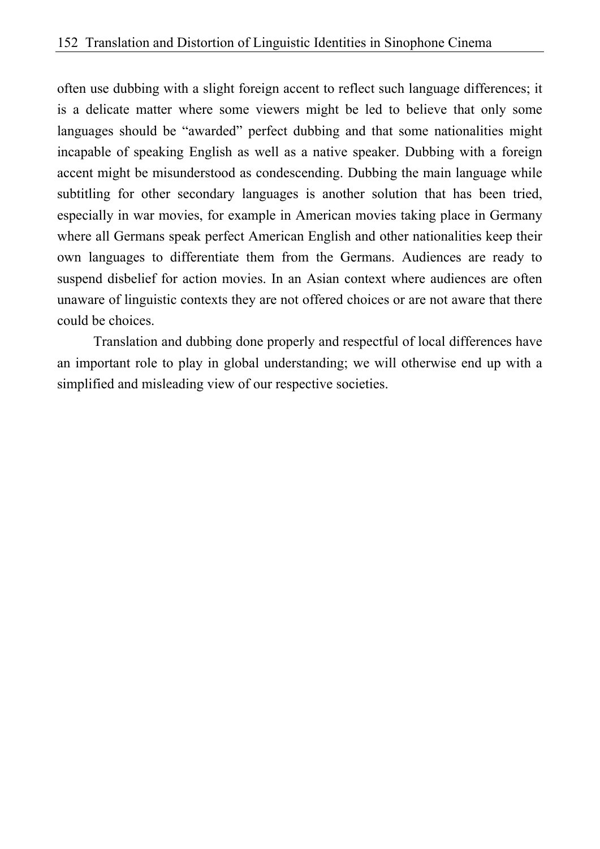often use dubbing with a slight foreign accent to reflect such language differences; it is a delicate matter where some viewers might be led to believe that only some languages should be "awarded" perfect dubbing and that some nationalities might incapable of speaking English as well as a native speaker. Dubbing with a foreign accent might be misunderstood as condescending. Dubbing the main language while subtitling for other secondary languages is another solution that has been tried, especially in war movies, for example in American movies taking place in Germany where all Germans speak perfect American English and other nationalities keep their own languages to differentiate them from the Germans. Audiences are ready to suspend disbelief for action movies. In an Asian context where audiences are often unaware of linguistic contexts they are not offered choices or are not aware that there could be choices.

Translation and dubbing done properly and respectful of local differences have an important role to play in global understanding; we will otherwise end up with a simplified and misleading view of our respective societies.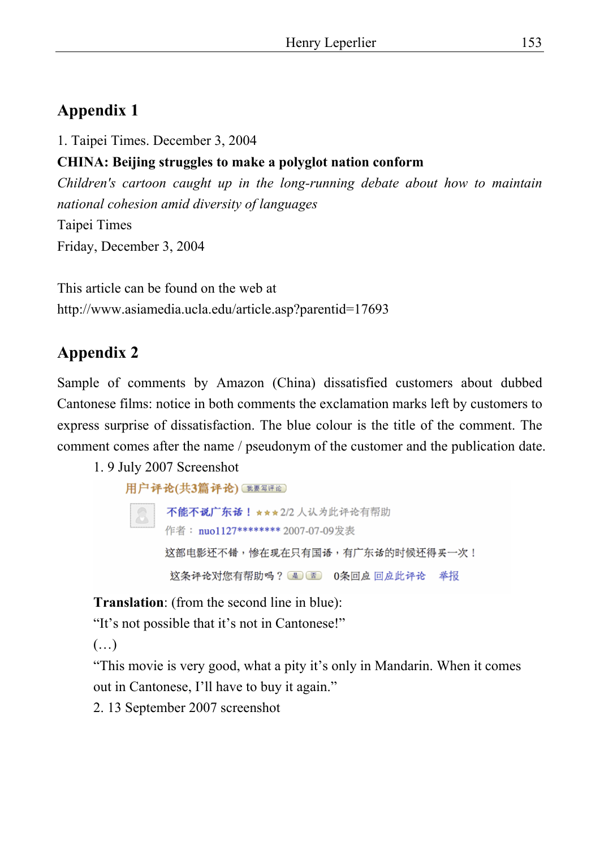# **Appendix 1**

1. Taipei Times. December 3, 2004

## **CHINA: Beijing struggles to make a polyglot nation conform**

*Children's cartoon caught up in the long-running debate about how to maintain national cohesion amid diversity of languages*  Taipei Times Friday, December 3, 2004

This article can be found on the web at http://www.asiamedia.ucla.edu/article.asp?parentid=17693

## **Appendix 2**

Sample of comments by Amazon (China) dissatisfied customers about dubbed Cantonese films: notice in both comments the exclamation marks left by customers to express surprise of dissatisfaction. The blue colour is the title of the comment. The comment comes after the name / pseudonym of the customer and the publication date.

#### 1. 9 July 2007 Screenshot

```
用户评论(共3篇评论) (我要写评论)
不能不说广东话! ★ * * 2/2 人认为此评论有帮助
作者: nuo1127******** 2007-07-09发表
这部电影还不错,惨在现在只有国语,有广东话的时候还得买一次!
 这条评论对您有帮助吗?是 否 0条回应回应此评论 举报
```
**Translation**: (from the second line in blue):

"It's not possible that it's not in Cantonese!"

 $(\ldots)$ 

"This movie is very good, what a pity it's only in Mandarin. When it comes out in Cantonese, I'll have to buy it again."

2. 13 September 2007 screenshot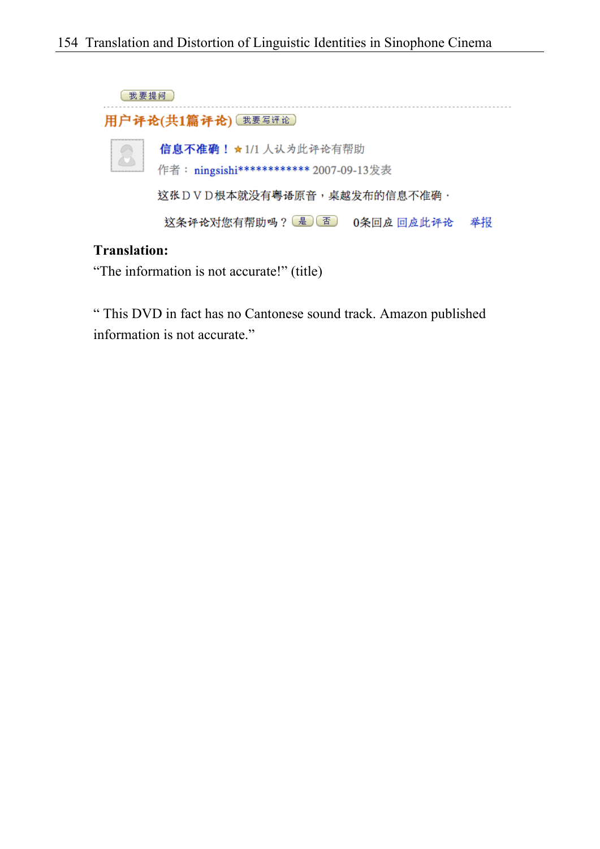

#### **Translation:**

"The information is not accurate!" (title)

" This DVD in fact has no Cantonese sound track. Amazon published information is not accurate."